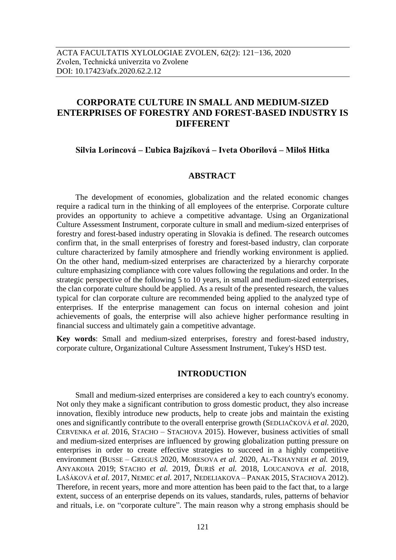# **CORPORATE CULTURE IN SMALL AND MEDIUM-SIZED ENTERPRISES OF FORESTRY AND FOREST-BASED INDUSTRY IS DIFFERENT**

# **Silvia Lorincová – Ľubica Bajzíková – Iveta Oborilová – Miloš Hitka**

# **ABSTRACT**

The development of economies, globalization and the related economic changes require a radical turn in the thinking of all employees of the enterprise. Corporate culture provides an opportunity to achieve a competitive advantage. Using an Organizational Culture Assessment Instrument, corporate culture in small and medium-sized enterprises of forestry and forest-based industry operating in Slovakia is defined. The research outcomes confirm that, in the small enterprises of forestry and forest-based industry, clan corporate culture characterized by family atmosphere and friendly working environment is applied. On the other hand, medium-sized enterprises are characterized by a hierarchy corporate culture emphasizing compliance with core values following the regulations and order. In the strategic perspective of the following 5 to 10 years, in small and medium-sized enterprises, the clan corporate culture should be applied. As a result of the presented research, the values typical for clan corporate culture are recommended being applied to the analyzed type of enterprises. If the enterprise management can focus on internal cohesion and joint achievements of goals, the enterprise will also achieve higher performance resulting in financial success and ultimately gain a competitive advantage.

**Key words**: Small and medium-sized enterprises, forestry and forest-based industry, corporate culture, Organizational Culture Assessment Instrument, Tukey's HSD test.

# **INTRODUCTION**

Small and medium-sized enterprises are considered a key to each country's economy. Not only they make a significant contribution to gross domestic product, they also increase innovation, flexibly introduce new products, help to create jobs and maintain the existing ones and significantly contribute to the overall enterprise growth (SEDLIAČKOVÁ *et al.* 2020, CERVENKA *et al.* 2016, STACHO – STACHOVA 2015). However, business activities of small and medium-sized enterprises are influenced by growing globalization putting pressure on enterprises in order to create effective strategies to succeed in a highly competitive environment (BUSSE – GREGUŠ 2020, MORESOVA *et al.* 2020, AL-TKHAYNEH *et al.* 2019, ANYAKOHA 2019; STACHO *et al.* 2019, ĎURIŠ *et al.* 2018, LOUCANOVA *et al.* 2018, LAŠÁKOVÁ *et al.* 2017, NEMEC *et al.* 2017, NEDELIAKOVA – PANAK 2015, STACHOVA 2012). Therefore, in recent years, more and more attention has been paid to the fact that, to a large extent, success of an enterprise depends on its values, standards, rules, patterns of behavior and rituals, i.e. on "corporate culture". The main reason why a strong emphasis should be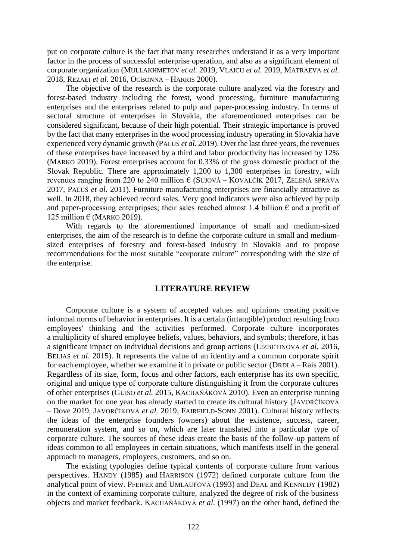put on corporate culture is the fact that many researches understand it as a very important factor in the process of successful enterprise operation, and also as a significant element of corporate organization (MULLAKHMETOV *et al.* 2019, VLAICU *et al.* 2019, MATRAEVA *et al.* 2018, REZAEI *et al.* 2016, OGBONNA – HARRIS 2000).

The objective of the research is the corporate culture analyzed via the forestry and forest-based industry including the forest, wood processing, furniture manufacturing enterprises and the enterprises related to pulp and paper-processing industry. In terms of sectoral structure of enterprises in Slovakia, the aforementioned enterprises can be considered significant, because of their high potential. Their strategic importance is proved by the fact that many enterprises in the wood processing industry operating in Slovakia have experienced very dynamic growth (PALUS *et al.* 2019). Over the last three years, the revenues of these enterprises have increased by a third and labor productivity has increased by 12% (MARKO 2019). Forest enterprises account for 0.33% of the gross domestic product of the Slovak Republic. There are approximately 1,200 to 1,300 enterprises in forestry, with revenues ranging from 220 to 240 million  $\epsilon$  (SUJOVÁ – KOVALČÍK 2017, ZELENÁ SPRÁVA 2017, PALUŠ *et al.* 2011). Furniture manufacturing enterprises are financially attractive as well. In 2018, they achieved record sales. Very good indicators were also achieved by pulp and paper-processing enterpripses; their sales reached almost 1.4 billion  $\epsilon$  and a profit of 125 million  $\epsilon$  (MARKO 2019).

With regards to the aforementioned importance of small and medium-sized enterprises, the aim of the research is to define the corporate culture in small and mediumsized enterprises of forestry and forest-based industry in Slovakia and to propose recommendations for the most suitable "corporate culture" corresponding with the size of the enterprise.

#### **LITERATURE REVIEW**

Corporate culture is a system of accepted values and opinions creating positive informal norms of behavior in enterprises. It is a certain (intangible) product resulting from employees' thinking and the activities performed. Corporate culture incorporates a multiplicity of shared employee beliefs, values, behaviors, and symbols; therefore, it has a significant impact on individual decisions and group actions (LIZBETINOVA *et al.* 2016, BELIAS *et al.* 2015). It represents the value of an identity and a common corporate spirit for each employee, whether we examine it in private or public sector (DRDLA – Rais 2001). Regardless of its size, form, focus and other factors, each enterprise has its own specific, original and unique type of corporate culture distinguishing it from the corporate cultures of other enterprises (GUISO *et al.* 2015, KACHAŇÁKOVÁ 2010). Even an enterprise running on the market for one year has already started to create its cultural history (JAVORČÍKOVÁ – Dove 2019, JAVORČÍKOVÁ *et al.* 2019, FAIRFIELD-SONN 2001). Cultural history reflects the ideas of the enterprise founders (owners) about the existence, success, career, remuneration system, and so on, which are later translated into a particular type of corporate culture. The sources of these ideas create the basis of the follow-up pattern of ideas common to all employees in certain situations, which manifests itself in the general approach to managers, employees, customers, and so on.

The existing typologies define typical contents of corporate culture from various perspectives. HANDY (1985) and HARRISON (1972) defined corporate culture from the analytical point of view. PFEIFER and UMLAUFOVÁ (1993) and DEAL and KENNEDY (1982) in the context of examining corporate culture, analyzed the degree of risk of the business objects and market feedback. KACHAŇÁKOVÁ *et al.* (1997) on the other hand, defined the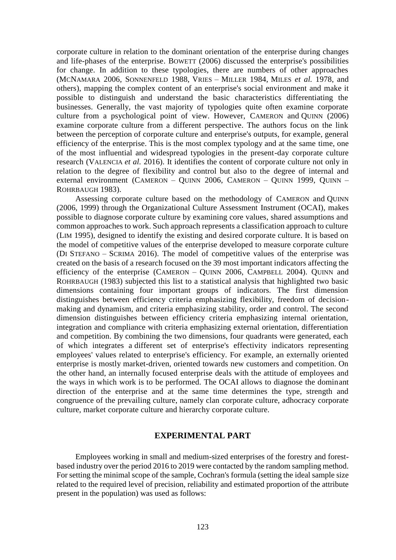corporate culture in relation to the dominant orientation of the enterprise during changes and life-phases of the enterprise. BOWETT (2006) discussed the enterprise's possibilities for change. In addition to these typologies, there are numbers of other approaches (MCNAMARA 2006, SONNENFELD 1988, VRIES – MILLER 1984, MILES *et al.* 1978, and others), mapping the complex content of an enterprise's social environment and make it possible to distinguish and understand the basic characteristics differentiating the businesses. Generally, the vast majority of typologies quite often examine corporate culture from a psychological point of view. However, CAMERON and QUINN (2006) examine corporate culture from a different perspective. The authors focus on the link between the perception of corporate culture and enterprise's outputs, for example, general efficiency of the enterprise. This is the most complex typology and at the same time, one of the most influential and widespread typologies in the present-day corporate culture research (VALENCIA *et al.* 2016). It identifies the content of corporate culture not only in relation to the degree of flexibility and control but also to the degree of internal and external environment (CAMERON – QUINN 2006, CAMERON – QUINN 1999, QUINN – ROHRBAUGH 1983).

Assessing corporate culture based on the methodology of CAMERON and QUINN (2006, 1999) through the Organizational Culture Assessment Instrument (OCAI), makes possible to diagnose corporate culture by examining core values, shared assumptions and common approaches to work. Such approach represents a classification approach to culture (LIM 1995), designed to identify the existing and desired corporate culture. It is based on the model of competitive values of the enterprise developed to measure corporate culture (DI STEFANO – SCRIMA 2016). The model of competitive values of the enterprise was created on the basis of a research focused on the 39 most important indicators affecting the efficiency of the enterprise (CAMERON – QUINN 2006, CAMPBELL 2004). QUINN and ROHRBAUGH (1983) subjected this list to a statistical analysis that highlighted two basic dimensions containing four important groups of indicators. The first dimension distinguishes between efficiency criteria emphasizing flexibility, freedom of decisionmaking and dynamism, and criteria emphasizing stability, order and control. The second dimension distinguishes between efficiency criteria emphasizing internal orientation, integration and compliance with criteria emphasizing external orientation, differentiation and competition. By combining the two dimensions, four quadrants were generated, each of which integrates a different set of enterprise's effectivity indicators representing employees' values related to enterprise's efficiency. For example, an externally oriented enterprise is mostly market-driven, oriented towards new customers and competition. On the other hand, an internally focused enterprise deals with the attitude of employees and the ways in which work is to be performed. The OCAI allows to diagnose the dominant direction of the enterprise and at the same time determines the type, strength and congruence of the prevailing culture, namely clan corporate culture, adhocracy corporate culture, market corporate culture and hierarchy corporate culture.

### **EXPERIMENTAL PART**

Employees working in small and medium-sized enterprises of the forestry and forestbased industry over the period 2016 to 2019 were contacted by the random sampling method. For setting the minimal scope of the sample, Cochran's formula (setting the ideal sample size related to the required level of precision, reliability and estimated proportion of the attribute present in the population) was used as follows: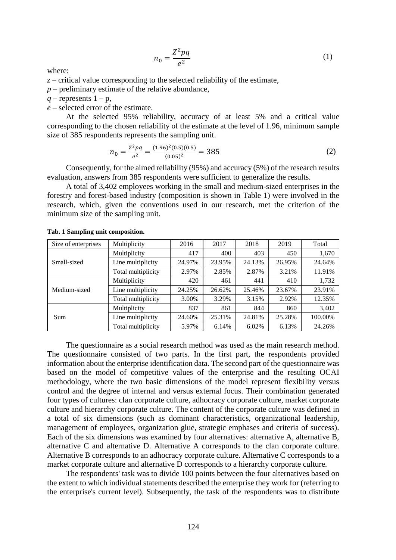$$
n_0 = \frac{Z^2 pq}{e^2} \tag{1}
$$

where:

 $z$  – critical value corresponding to the selected reliability of the estimate,

 $p$  – preliminary estimate of the relative abundance,

 $q$  – represents  $1 - p$ ,

*e* – selected error of the estimate.

At the selected 95% reliability, accuracy of at least 5% and a critical value corresponding to the chosen reliability of the estimate at the level of 1.96, minimum sample size of 385 respondents represents the sampling unit.

$$
n_0 = \frac{Z^2 pq}{e^2} = \frac{(1.96)^2 (0.5)(0.5)}{(0.05)^2} = 385
$$
 (2)

Consequently, for the aimed reliability (95%) and accuracy (5%) of the research results evaluation, answers from 385 respondents were sufficient to generalize the results.

A total of 3,402 employees working in the small and medium-sized enterprises in the forestry and forest-based industry (composition is shown in Table 1) were involved in the research, which, given the conventions used in our research, met the criterion of the minimum size of the sampling unit.

| Size of enterprises | Multiplicity       | 2016   | 2017   | 2018   | 2019   | Total                                                         |
|---------------------|--------------------|--------|--------|--------|--------|---------------------------------------------------------------|
|                     | Multiplicity       | 417    | 400    | 403    | 450    | 1,670                                                         |
| Small-sized         | Line multiplicity  | 24.97% | 23.95% | 24.13% | 26.95% | 24.64%                                                        |
|                     | Total multiplicity | 2.97%  | 2.85%  | 2.87%  | 3.21%  | 11.91%<br>1,732<br>410<br>23.91%<br>23.67%<br>12.35%<br>2.92% |
| Medium-sized        | Multiplicity       | 420    | 461    | 441    |        |                                                               |
|                     | Line multiplicity  | 24.25% | 26.62% | 25.46% |        |                                                               |
|                     | Total multiplicity | 3.00%  | 3.29%  | 3.15%  |        |                                                               |
|                     | Multiplicity       | 837    | 861    | 844    | 860    | 3,402                                                         |
| Sum                 | Line multiplicity  | 24.60% | 25.31% | 24.81% | 25.28% | 100.00%                                                       |
|                     | Total multiplicity | 5.97%  | 6.14%  | 6.02%  | 6.13%  | 24.26%                                                        |

**Tab. 1 Sampling unit composition.**

The questionnaire as a social research method was used as the main research method. The questionnaire consisted of two parts. In the first part, the respondents provided information about the enterprise identification data. The second part of the questionnaire was based on the model of competitive values of the enterprise and the resulting OCAI methodology, where the two basic dimensions of the model represent flexibility versus control and the degree of internal and versus external focus. Their combination generated four types of cultures: clan corporate culture, adhocracy corporate culture, market corporate culture and hierarchy corporate culture. The content of the corporate culture was defined in a total of six dimensions (such as dominant characteristics, organizational leadership, management of employees, organization glue, strategic emphases and criteria of success). Each of the six dimensions was examined by four alternatives: alternative A, alternative B, alternative C and alternative D. Alternative A corresponds to the clan corporate culture. Alternative B corresponds to an adhocracy corporate culture. Alternative C corresponds to a market corporate culture and alternative D corresponds to a hierarchy corporate culture.

The respondents' task was to divide 100 points between the four alternatives based on the extent to which individual statements described the enterprise they work for (referring to the enterprise's current level). Subsequently, the task of the respondents was to distribute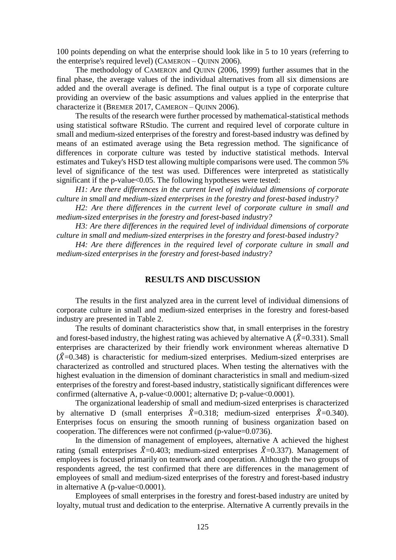100 points depending on what the enterprise should look like in 5 to 10 years (referring to the enterprise's required level) (CAMERON – QUINN 2006).

The methodology of CAMERON and QUINN (2006, 1999) further assumes that in the final phase, the average values of the individual alternatives from all six dimensions are added and the overall average is defined. The final output is a type of corporate culture providing an overview of the basic assumptions and values applied in the enterprise that characterize it (BREMER 2017, CAMERON – QUINN 2006).

The results of the research were further processed by mathematical-statistical methods using statistical software RStudio. The current and required level of corporate culture in small and medium-sized enterprises of the forestry and forest-based industry was defined by means of an estimated average using the Beta regression method. The significance of differences in corporate culture was tested by inductive statistical methods. Interval estimates and Tukey's HSD test allowing multiple comparisons were used. The common 5% level of significance of the test was used. Differences were interpreted as statistically significant if the p-value<0.05. The following hypotheses were tested:

*H1: Are there differences in the current level of individual dimensions of corporate culture in small and medium-sized enterprises in the forestry and forest-based industry?*

*H2: Are there differences in the current level of corporate culture in small and medium-sized enterprises in the forestry and forest-based industry?*

*H3: Are there differences in the required level of individual dimensions of corporate culture in small and medium-sized enterprises in the forestry and forest-based industry?*

*H4: Are there differences in the required level of corporate culture in small and medium-sized enterprises in the forestry and forest-based industry?*

### **RESULTS AND DISCUSSION**

The results in the first analyzed area in the current level of individual dimensions of corporate culture in small and medium-sized enterprises in the forestry and forest-based industry are presented in Table 2.

The results of dominant characteristics show that, in small enterprises in the forestry and forest-based industry, the highest rating was achieved by alternative A ( $\hat{X}$ =0.331). Small enterprises are characterized by their friendly work environment whereas alternative D  $(\hat{X}=0.348)$  is characteristic for medium-sized enterprises. Medium-sized enterprises are characterized as controlled and structured places. When testing the alternatives with the highest evaluation in the dimension of dominant characteristics in small and medium-sized enterprises of the forestry and forest-based industry, statistically significant differences were confirmed (alternative A, p-value<0.0001; alternative D; p-value<0.0001).

The organizational leadership of small and medium-sized enterprises is characterized by alternative D (small enterprises  $\hat{X}=0.318$ ; medium-sized enterprises  $\hat{X}=0.340$ ). Enterprises focus on ensuring the smooth running of business organization based on cooperation. The differences were not confirmed (p-value=0.0736).

In the dimension of management of employees, alternative A achieved the highest rating (small enterprises  $\hat{X}=0.403$ ; medium-sized enterprises  $\hat{X}=0.337$ ). Management of employees is focused primarily on teamwork and cooperation. Although the two groups of respondents agreed, the test confirmed that there are differences in the management of employees of small and medium-sized enterprises of the forestry and forest-based industry in alternative A (p-value $<0.0001$ ).

Employees of small enterprises in the forestry and forest-based industry are united by loyalty, mutual trust and dedication to the enterprise. Alternative A currently prevails in the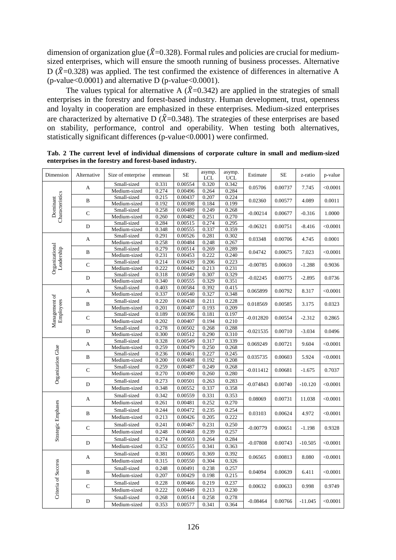dimension of organization glue ( $\hat{X}=0.328$ ). Formal rules and policies are crucial for mediumsized enterprises, which will ensure the smooth running of business processes. Alternative D ( $\hat{X}=0.328$ ) was applied. The test confirmed the existence of differences in alternative A (p-value $<0.0001$ ) and alternative D (p-value $<0.0001$ ).

The values typical for alternative A  $(\hat{X}=0.342)$  are applied in the strategies of small enterprises in the forestry and forest-based industry. Human development, trust, openness and loyalty in cooperation are emphasized in these enterprises. Medium-sized enterprises are characterized by alternative D ( $\hat{X}=0.348$ ). The strategies of these enterprises are based on stability, performance, control and operability. When testing both alternatives, statistically significant differences (p-value<0.0001) were confirmed.

| Dimension                                                                 | Alternative  | Size of enterprise          | emmean         | $\rm SE$           | asymp.<br><b>LCL</b> | asymp.<br><b>UCL</b> | Estimate    | <b>SE</b> | z-ratio   | p-value  |
|---------------------------------------------------------------------------|--------------|-----------------------------|----------------|--------------------|----------------------|----------------------|-------------|-----------|-----------|----------|
|                                                                           | A            | Small-sized                 | 0.331          | 0.00554            | 0.320                | 0.342                | 0.05706     | 0.00737   | 7.745     | < 0.0001 |
| Characteristics<br>Dominant                                               |              | Medium-sized                | 0.274          | 0.00496            | 0.264                | 0.284                |             |           |           |          |
|                                                                           | $\, {\bf B}$ | Small-sized                 | 0.215          | 0.00437            | 0.207                | 0.224                | 0.02360     | 0.00577   | 4.089     | 0.0011   |
|                                                                           |              | Medium-sized                | 0.192<br>0.258 | 0.00398<br>0.00489 | 0.184<br>0.249       | 0.199                |             |           |           |          |
|                                                                           | $\mathbf C$  | Small-sized                 | 0.260          |                    | 0.251                | 0.268<br>0.270       | $-0.00214$  | 0.00677   | $-0.316$  | 1.0000   |
|                                                                           |              | Medium-sized<br>Small-sized | 0.284          | 0.00482<br>0.00515 | 0.274                | 0.295                |             |           |           |          |
|                                                                           | $\mathbf D$  | Medium-sized                | 0.348          | 0.00555            | 0.337                | 0.359                | $-0.06321$  | 0.00751   | $-8.416$  | < 0.0001 |
|                                                                           |              | Small-sized                 | 0.291          | 0.00526            | 0.281                | 0.302                |             |           |           |          |
|                                                                           | A            | Medium-sized                | 0.258          | 0.00484            | 0.248                | 0.267                | 0.03348     | 0.00706   | 4.745     | 0.0001   |
| Organizational<br>Leadership                                              |              | Small-sized                 | 0.279          | 0.00514            | 0.269                | 0.289                |             |           |           |          |
|                                                                           | $\, {\bf B}$ | Medium-sized                | 0.231          | 0.00453            | 0.222                | 0.240                | 0.04742     | 0.00675   | 7.023     | < 0.0001 |
|                                                                           |              | Small-sized                 | 0.214          | 0.00439            | 0.206                | 0.223                |             |           |           |          |
|                                                                           | $\mathsf{C}$ | Medium-sized                | 0.222          | 0.00442            | 0.213                | 0.231                | $-0.00785$  | 0.00610   | $-1.288$  | 0.9036   |
|                                                                           |              | Small-sized                 | 0.318          | 0.00549            | 0.307                | 0.329                |             |           |           |          |
|                                                                           | D            | Medium-sized                | 0.340          | 0.00555            | 0.329                | 0.351                | $-0.02245$  | 0.00775   | $-2.895$  | 0.0736   |
|                                                                           |              | Small-sized                 | 0.403          | 0.00584            | 0.392                | 0.415                |             |           |           |          |
|                                                                           | A            | Medium-sized                | 0.337          | 0.00540            | 0.327                | 0.348                | 0.065899    | 0.00792   | 8.317     | < 0.0001 |
| Management of<br>Employees<br>$\, {\bf B}$<br>$\mathsf{C}$<br>$\mathbf D$ |              | Small-sized                 | 0.220          | 0.00438            | 0.211                | 0.228                |             |           |           |          |
|                                                                           |              | Medium-sized                | 0.201          | 0.00407            | 0.193                | 0.209                | 0.018569    | 0.00585   | 3.175     | 0.0323   |
|                                                                           |              | Small-sized                 | 0.189          | 0.00396            | 0.181                | 0.197                |             |           |           | 0.2865   |
|                                                                           |              | Medium-sized                | 0.202          | 0.00407            | 0.194                | 0.210                | $-0.012820$ | 0.00554   | $-2.312$  |          |
|                                                                           |              | Small-sized                 | 0.278          | 0.00502            | 0.268                | 0.288                |             |           |           |          |
|                                                                           |              | Medium-sized                | 0.300          | 0.00512            | 0.290                | 0.310                | $-0.021535$ | 0.00710   | $-3.034$  | 0.0496   |
|                                                                           | A            | Small-sized                 | 0.328          | 0.00549            | 0.317                | 0.339                | 0.069249    |           |           | < 0.0001 |
|                                                                           | B            | Medium-sized                | 0.259          | 0.00479            | 0.250                | 0.268                | 0.035735    | 0.00721   | 9.604     |          |
| Organization Glue                                                         |              | Small-sized                 | 0.236          | 0.00461            | 0.227                | 0.245                |             | 0.00603   | 5.924     | < 0.0001 |
|                                                                           |              | Medium-sized                | 0.200          | 0.00408            | 0.192                | 0.208                |             |           |           |          |
|                                                                           | $\mathbf C$  | Small-sized                 | 0.259          | 0.00487            | 0.249                | 0.268                | $-0.011412$ | 0.00681   | $-1.675$  | 0.7037   |
|                                                                           |              | Medium-sized                | 0.270          | 0.00490            | 0.260                | 0.280                |             |           |           |          |
|                                                                           | D            | Small-sized                 | 0.273          | 0.00501            | 0.263                | 0.283                |             | 0.00740   |           |          |
|                                                                           |              | Medium-sized                | 0.348          | 0.00552            | 0.337                | 0.358                | $-0.074843$ |           | $-10.120$ | < 0.0001 |
|                                                                           |              | Small-sized                 | 0.342          | 0.00559            | 0.331                | 0.353                |             |           |           |          |
|                                                                           | A            | Medium-sized                | 0.261          | 0.00481            | 0.252                | 0.270                | 0.08069     | 0.00731   | 11.038    | < 0.0001 |
|                                                                           |              | Small-sized                 | 0.244          | 0.00472            | 0.235                | 0.254                |             |           |           |          |
|                                                                           | B            | Medium-sized                | 0.213          | 0.00426            | 0.205                | 0.222                | 0.03103     | 0.00624   | 4.972     | < 0.0001 |
| Strategic Emphases                                                        |              | Small-sized                 | 0.241          | 0.00467            | 0.231                | 0.250                |             |           |           |          |
|                                                                           | $\mathsf{C}$ | Medium-sized                | 0.248          | 0.00468            | 0.239                | 0.257                | $-0.00779$  | 0.00651   | $-1.198$  | 0.9328   |
|                                                                           |              |                             | 0.274          |                    | 0.264                |                      |             |           |           |          |
|                                                                           | $\mathbf D$  | Small-sized                 |                | 0.00503            |                      | 0.284                | $-0.07808$  | 0.00743   | $-10.505$ | < 0.0001 |
|                                                                           |              | Medium-sized                | 0.352          | 0.00555            | 0.341                | 0.363                |             |           |           |          |
|                                                                           | A            | Small-sized                 | 0.381          | 0.00605            | 0.369                | 0.392                | 0.06565     | 0.00813   | 8.080     | < 0.0001 |
|                                                                           |              | Medium-sized                | 0.315          | 0.00550            | 0.304                | 0.326                |             |           |           |          |
|                                                                           | B            | Small-sized                 | 0.248          | 0.00491            | 0.238                | 0.257                | 0.04094     | 0.00639   | 6.411     | < 0.0001 |
| Criteria of Success                                                       |              | Medium-sized                | 0.207          | 0.00429            | 0.198                | 0.215                |             |           |           |          |
|                                                                           |              | Small-sized                 | 0.228          | 0.00466            | 0.219                | 0.237                |             |           |           |          |
|                                                                           | $\mathbf C$  | Medium-sized                | 0.222          | 0.00449            | 0.213                | 0.230                | 0.00632     | 0.00633   | 0.998     | 0.9749   |
|                                                                           |              | Small-sized                 | 0.268          | 0.00514            | 0.258                | 0.278                |             |           |           |          |
|                                                                           | D            | Medium-sized                | 0.353          | 0.00577            | 0.341                | 0.364                | $-0.08464$  | 0.00766   | $-11.045$ | < 0.0001 |
|                                                                           |              |                             |                |                    |                      |                      |             |           |           |          |

| Tab. 2 The current level of individual dimensions of corporate culture in small and medium-sized |  |  |  |  |  |
|--------------------------------------------------------------------------------------------------|--|--|--|--|--|
| enterprises in the forestry and forest-based industry.                                           |  |  |  |  |  |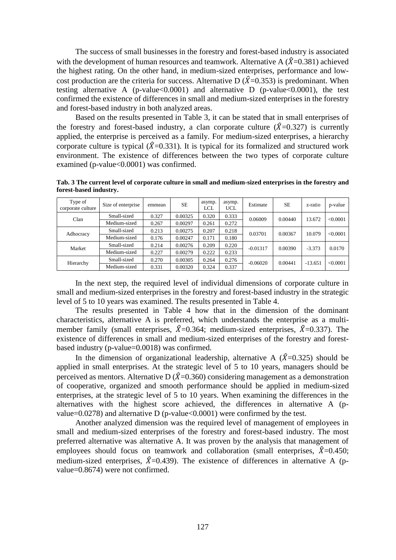The success of small businesses in the forestry and forest-based industry is associated with the development of human resources and teamwork. Alternative A  $(\hat{X}=0.381)$  achieved the highest rating. On the other hand, in medium-sized enterprises, performance and lowcost production are the criteria for success. Alternative D ( $\hat{X}$ =0.353) is predominant. When testing alternative A (p-value< $0.0001$ ) and alternative D (p-value < $0.0001$ ), the test confirmed the existence of differences in small and medium-sized enterprises in the forestry and forest-based industry in both analyzed areas.

Based on the results presented in Table 3, it can be stated that in small enterprises of the forestry and forest-based industry, a clan corporate culture  $(\hat{X}=0.327)$  is currently applied, the enterprise is perceived as a family. For medium-sized enterprises, a hierarchy corporate culture is typical ( $\hat{X}$ =0.331). It is typical for its formalized and structured work environment. The existence of differences between the two types of corporate culture examined (p-value<0.0001) was confirmed.

**Tab. 3 The current level of corporate culture in small and medium-sized enterprises in the forestry and forest-based industry.**

| Type of<br>corporate culture | Size of enterprise | emmean | <b>SE</b> | asymp.<br>LCL             | asymp.<br>UCL. | Estimate   | SE      | z-ratio   | p-value  |
|------------------------------|--------------------|--------|-----------|---------------------------|----------------|------------|---------|-----------|----------|
| Clan                         | Small-sized        | 0.327  | 0.00325   | 0.333<br>0.320<br>0.06009 |                | 0.00440    | 13.672  | < 0.0001  |          |
|                              | Medium-sized       | 0.267  | 0.00297   | 0.261                     | 0.272          |            |         |           |          |
| Adhocracy                    | Small-sized        | 0.213  | 0.00275   | 0.207                     | 0.218          | 0.03701    | 0.00367 | 10.079    | < 0.0001 |
|                              | Medium-sized       | 0.176  | 0.00247   | 0.171                     | 0.180          |            |         |           |          |
| Market                       | Small-sized        | 0.214  | 0.00276   | 0.209                     | 0.220          | $-0.01317$ | 0.00390 | $-3.373$  | 0.0170   |
|                              | Medium-sized       | 0.227  | 0.00279   | 0.222                     | 0.233          |            |         |           |          |
|                              | Small-sized        | 0.270  | 0.00305   | 0.264                     | 0.276          | $-0.06020$ | 0.00441 | $-13.651$ | < 0.0001 |
| Hierarchy                    | Medium-sized       | 0.331  | 0.00320   | 0.324                     | 0.337          |            |         |           |          |

In the next step, the required level of individual dimensions of corporate culture in small and medium-sized enterprises in the forestry and forest-based industry in the strategic level of 5 to 10 years was examined. The results presented in Table 4.

The results presented in Table 4 how that in the dimension of the dominant characteristics, alternative A is preferred, which understands the enterprise as a multimember family (small enterprises,  $\hat{X}=0.364$ ; medium-sized enterprises,  $\hat{X}=0.337$ ). The existence of differences in small and medium-sized enterprises of the forestry and forestbased industry (p-value=0.0018) was confirmed.

In the dimension of organizational leadership, alternative A  $(\hat{X}=0.325)$  should be applied in small enterprises. At the strategic level of 5 to 10 years, managers should be perceived as mentors. Alternative D ( $\hat{X}$ =0.360) considering management as a demonstration of cooperative, organized and smooth performance should be applied in medium-sized enterprises, at the strategic level of 5 to 10 years. When examining the differences in the alternatives with the highest score achieved, the differences in alternative A (pvalue=0.0278) and alternative D (p-value<0.0001) were confirmed by the test.

Another analyzed dimension was the required level of management of employees in small and medium-sized enterprises of the forestry and forest-based industry. The most preferred alternative was alternative A. It was proven by the analysis that management of employees should focus on teamwork and collaboration (small enterprises,  $\hat{X}=0.450$ ; medium-sized enterprises,  $\hat{X}=0.439$ ). The existence of differences in alternative A (pvalue=0.8674) were not confirmed.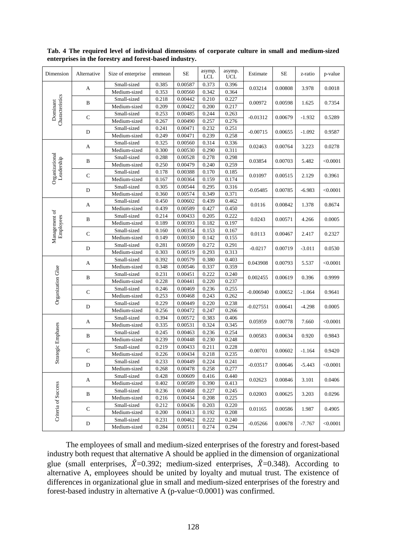| Dimension                  | Alternative  | Size of enterprise | emmean | $\rm SE$ | asymp.<br><b>LCL</b> | asymp.<br><b>UCL</b> | Estimate    | $\rm SE$ | z-ratio                                                                                                                                                                                                                                       | p-value  |  |
|----------------------------|--------------|--------------------|--------|----------|----------------------|----------------------|-------------|----------|-----------------------------------------------------------------------------------------------------------------------------------------------------------------------------------------------------------------------------------------------|----------|--|
|                            | A            | Small-sized        | 0.385  | 0.00587  | 0.373                | 0.396                | 0.03214     | 0.00808  |                                                                                                                                                                                                                                               | 0.0018   |  |
|                            |              | Medium-sized       | 0.353  | 0.00560  | 0.342                | 0.364                |             |          |                                                                                                                                                                                                                                               |          |  |
| Characteristics            | B            | Small-sized        | 0.218  | 0.00442  | 0.210                | 0.227                | 0.00972     | 0.00598  |                                                                                                                                                                                                                                               | 0.7354   |  |
| Dominant                   |              | Medium-sized       | 0.209  | 0.00422  | 0.200                | 0.217                |             |          |                                                                                                                                                                                                                                               |          |  |
|                            | ${\bf C}$    | Small-sized        | 0.253  | 0.00485  | 0.244                | 0.263                | $-0.01312$  | 0.00679  |                                                                                                                                                                                                                                               | 0.5289   |  |
|                            |              | Medium-sized       | 0.267  | 0.00490  | 0.257                | 0.276                |             |          |                                                                                                                                                                                                                                               |          |  |
|                            | $\mathbf D$  | Small-sized        | 0.241  | 0.00471  | 0.232                | 0.251                | $-0.00715$  | 0.00655  |                                                                                                                                                                                                                                               | 0.9587   |  |
|                            |              | Medium-sized       | 0.249  | 0.00471  | 0.239                | 0.258                |             |          |                                                                                                                                                                                                                                               |          |  |
|                            | A            | Small-sized        | 0.325  | 0.00560  | 0.314                | 0.336                | 0.02463     | 0.00764  |                                                                                                                                                                                                                                               | 0.0278   |  |
|                            |              | Medium-sized       | 0.300  | 0.00530  | 0.290                | 0.311                |             |          |                                                                                                                                                                                                                                               |          |  |
| Organizational             | B            | Small-sized        | 0.288  | 0.00528  | 0.278                | 0.298                | 0.03854     | 0.00703  |                                                                                                                                                                                                                                               | < 0.0001 |  |
| Leadership                 |              | Medium-sized       | 0.250  | 0.00479  | 0.240                | 0.259                |             |          |                                                                                                                                                                                                                                               |          |  |
|                            | $\mathbf C$  | Small-sized        | 0.178  | 0.00388  | 0.170                | 0.185                | 0.01097     | 0.00515  |                                                                                                                                                                                                                                               | 0.3961   |  |
|                            |              | Medium-sized       | 0.167  | 0.00364  | 0.159                | 0.174                |             |          |                                                                                                                                                                                                                                               |          |  |
|                            | D            | Small-sized        | 0.305  | 0.00544  | 0.295                | 0.316                | $-0.05485$  | 0.00785  |                                                                                                                                                                                                                                               | < 0.0001 |  |
|                            |              | Medium-sized       | 0.360  | 0.00574  | 0.349                | 0.371                |             |          | 3.978<br>1.625<br>$-1.932$<br>$-1.092$<br>3.223<br>5.482<br>2.129<br>$-6.983$<br>1.378<br>4.266<br>2.417<br>$-3.011$<br>5.537<br>0.396<br>$-1.064$<br>$-4.298$<br>7.660<br>0.920<br>$-1.164$<br>-5.443<br>3.101<br>3.203<br>1.987<br>$-7.767$ |          |  |
|                            | $\mathbf{A}$ | Small-sized        | 0.450  | 0.00602  | 0.439                | 0.462                | 0.0116      |          | 0.00842                                                                                                                                                                                                                                       |          |  |
|                            |              | Medium-sized       | 0.439  | 0.00589  | 0.427                | 0.450                |             |          |                                                                                                                                                                                                                                               | 0.8674   |  |
| Management of<br>Employees |              | Small-sized        | 0.214  | 0.00433  | 0.205                | 0.222                |             |          |                                                                                                                                                                                                                                               | 0.0005   |  |
|                            | $\, {\bf B}$ | Medium-sized       | 0.189  | 0.00393  | 0.182                | 0.197                | 0.0243      | 0.00571  |                                                                                                                                                                                                                                               |          |  |
|                            | $\mathbf C$  | Small-sized        | 0.160  | 0.00354  | 0.153                | 0.167                | 0.0113      |          |                                                                                                                                                                                                                                               |          |  |
|                            |              | Medium-sized       | 0.149  | 0.00330  | 0.142                | 0.155                |             | 0.00467  |                                                                                                                                                                                                                                               | 0.2327   |  |
|                            |              | Small-sized        | 0.281  | 0.00509  | 0.272                | 0.291                | $-0.0217$   |          |                                                                                                                                                                                                                                               |          |  |
|                            | D            | Medium-sized       | 0.303  | 0.00519  | 0.293                | 0.313                |             | 0.00719  |                                                                                                                                                                                                                                               | 0.0530   |  |
|                            |              | Small-sized        | 0.392  | 0.00579  | 0.380                | 0.403                |             |          |                                                                                                                                                                                                                                               |          |  |
|                            | A            | Medium-sized       | 0.348  | 0.00546  | 0.337                | 0.359                | 0.043908    | 0.00793  |                                                                                                                                                                                                                                               | < 0.0001 |  |
| Organization Glue          |              | Small-sized        | 0.231  | 0.00451  | 0.222                | 0.240                |             |          |                                                                                                                                                                                                                                               |          |  |
|                            | $\, {\bf B}$ | Medium-sized       | 0.228  | 0.00441  | 0.220                | 0.237                | 0.002455    | 0.00619  |                                                                                                                                                                                                                                               | 0.9999   |  |
|                            |              | Small-sized        | 0.246  | 0.00469  | 0.236                | 0.255                |             |          |                                                                                                                                                                                                                                               |          |  |
|                            | $\mathsf C$  | Medium-sized       | 0.253  | 0.00468  | 0.243                | 0.262                | $-0.006940$ | 0.00652  |                                                                                                                                                                                                                                               | 0.9641   |  |
|                            |              | Small-sized        | 0.229  | 0.00449  | 0.220                | 0.238                |             |          |                                                                                                                                                                                                                                               |          |  |
|                            | $\mathbf D$  | Medium-sized       | 0.256  | 0.00472  | 0.247                | 0.266                | $-0.027551$ | 0.00641  |                                                                                                                                                                                                                                               | 0.0005   |  |
|                            |              | Small-sized        | 0.394  | 0.00572  | 0.383                | 0.406                |             |          |                                                                                                                                                                                                                                               |          |  |
|                            | A            | Medium-sized       | 0.335  | 0.00531  | 0.324                | 0.345                | 0.05959     | 0.00778  |                                                                                                                                                                                                                                               | < 0.0001 |  |
| Strategic Emphases         |              | Small-sized        | 0.245  | 0.00463  | 0.236                | 0.254                |             |          |                                                                                                                                                                                                                                               |          |  |
|                            | B            | Medium-sized       | 0.239  | 0.00448  | 0.230                | 0.248                | 0.00583     | 0.00634  |                                                                                                                                                                                                                                               | 0.9843   |  |
|                            |              | Small-sized        | 0.219  | 0.00433  | 0.211                | 0.228                |             |          |                                                                                                                                                                                                                                               |          |  |
|                            | $\mathbf C$  | Medium-sized       | 0.226  | 0.00434  | 0.218                | 0.235                | $-0.00701$  | 0.00602  |                                                                                                                                                                                                                                               | 0.9420   |  |
|                            |              | Small-sized        | 0.233  | 0.00449  | 0.224                | 0.241                |             |          |                                                                                                                                                                                                                                               |          |  |
|                            | D            | Medium-sized       | 0.268  | 0.00478  | 0.258                | 0.277                | $-0.03517$  | 0.00646  |                                                                                                                                                                                                                                               | < 0.0001 |  |
|                            |              | Small-sized        | 0.428  | 0.00609  | 0.416                | 0.440                |             |          |                                                                                                                                                                                                                                               |          |  |
|                            | A            | Medium-sized       | 0.402  | 0.00589  | 0.390                | 0.413                | 0.02623     | 0.00846  |                                                                                                                                                                                                                                               | 0.0406   |  |
|                            |              | Small-sized        | 0.236  | 0.00468  | 0.227                | 0.245                |             |          |                                                                                                                                                                                                                                               |          |  |
|                            | B            | Medium-sized       | 0.216  | 0.00434  | 0.208                | 0.225                | 0.02003     | 0.00625  |                                                                                                                                                                                                                                               | 0.0296   |  |
|                            |              | Small-sized        | 0.212  | 0.00436  | 0.203                | 0.220                |             |          |                                                                                                                                                                                                                                               |          |  |
| Criteria of Success        | $\mathbf C$  | Medium-sized       | 0.200  | 0.00413  | 0.192                | 0.208                | 0.01165     | 0.00586  |                                                                                                                                                                                                                                               | 0.4905   |  |
|                            |              | Small-sized        | 0.231  | 0.00462  | 0.222                | 0.240                |             |          |                                                                                                                                                                                                                                               |          |  |
|                            | D            | Medium-sized       | 0.284  | 0.00511  | 0.274                | 0.294                | $-0.05266$  | 0.00678  |                                                                                                                                                                                                                                               | < 0.0001 |  |
|                            |              |                    |        |          |                      |                      |             |          |                                                                                                                                                                                                                                               |          |  |

**Tab. 4 The required level of individual dimensions of corporate culture in small and medium-sized enterprises in the forestry and forest-based industry.**

The employees of small and medium-sized enterprises of the forestry and forest-based industry both request that alternative A should be applied in the dimension of organizational glue (small enterprises,  $\hat{X}=0.392$ ; medium-sized enterprises,  $\hat{X}=0.348$ ). According to alternative A, employees should be united by loyalty and mutual trust. The existence of differences in organizational glue in small and medium-sized enterprises of the forestry and forest-based industry in alternative A (p-value<0.0001) was confirmed.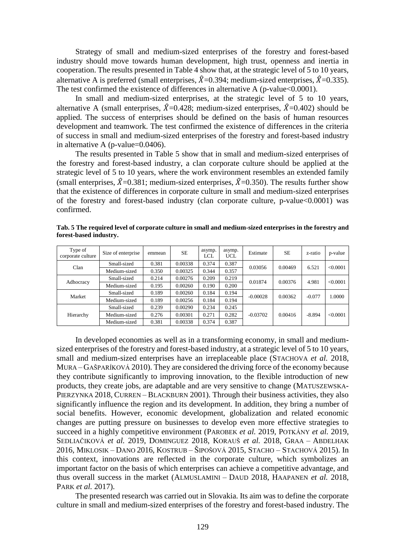Strategy of small and medium-sized enterprises of the forestry and forest-based industry should move towards human development, high trust, openness and inertia in cooperation. The results presented in Table 4 show that, at the strategic level of 5 to 10 years, alternative A is preferred (small enterprises,  $\hat{X}=0.394$ ; medium-sized enterprises,  $\hat{X}=0.335$ ). The test confirmed the existence of differences in alternative A (p-value  $0.0001$ ).

In small and medium-sized enterprises, at the strategic level of 5 to 10 years, alternative A (small enterprises,  $\hat{X}=0.428$ ; medium-sized enterprises,  $\hat{X}=0.402$ ) should be applied. The success of enterprises should be defined on the basis of human resources development and teamwork. The test confirmed the existence of differences in the criteria of success in small and medium-sized enterprises of the forestry and forest-based industry in alternative A (p-value=0.0406).

The results presented in Table 5 show that in small and medium-sized enterprises of the forestry and forest-based industry, a clan corporate culture should be applied at the strategic level of 5 to 10 years, where the work environment resembles an extended family (small enterprises,  $\hat{X}$ =0.381; medium-sized enterprises,  $\hat{X}$ =0.350). The results further show that the existence of differences in corporate culture in small and medium-sized enterprises of the forestry and forest-based industry (clan corporate culture, p-value<0.0001) was confirmed.

| Type of<br>corporate culture | Size of enterprise | emmean | <b>SE</b> | asymp.<br>LCL | asymp.<br><b>UCL</b> | Estimate   | <b>SE</b> | z-ratio  | p-value  |
|------------------------------|--------------------|--------|-----------|---------------|----------------------|------------|-----------|----------|----------|
| Clan                         | Small-sized        | 0.381  | 0.00338   | 0.374         | 0.387                | 0.03056    | 0.00469   | 6.521    | < 0.0001 |
|                              | Medium-sized       | 0.350  | 0.00325   | 0.344         | 0.357                |            |           |          |          |
| Adhocracy                    | Small-sized        | 0.214  | 0.00276   | 0.209         | 0.219                | 0.01874    | 0.00376   | 4.981    | < 0.0001 |
|                              | Medium-sized       | 0.195  | 0.00260   | 0.190         | 0.200                |            |           |          |          |
| Market                       | Small-sized        | 0.189  | 0.00260   | 0.184         | 0.194                | $-0.00028$ | 0.00362   | $-0.077$ | 1.0000   |
|                              | Medium-sized       | 0.189  | 0.00256   | 0.184         | 0.194                |            |           |          |          |
| Hierarchy                    | Small-sized        | 0.239  | 0.00290   | 0.234         | 0.245                |            | 0.00416   | $-8.894$ | <0.0001  |
|                              | Medium-sized       | 0.276  | 0.00301   | 0.271         | 0.282                | $-0.03702$ |           |          |          |
|                              | Medium-sized       | 0.381  | 0.00338   | 0.374         | 0.387                |            |           |          |          |

**Tab. 5 The required level of corporate culture in small and medium-sized enterprises in the forestry and forest-based industry.**

In developed economies as well as in a transforming economy, in small and mediumsized enterprises of the forestry and forest-based industry, at a strategic level of 5 to 10 years, small and medium-sized enterprises have an irreplaceable place (STACHOVA *et al.* 2018, MURA – GAŠPARÍKOVÁ 2010). They are considered the driving force of the economy because they contribute significantly to improving innovation, to the flexible introduction of new products, they create jobs, are adaptable and are very sensitive to change (MATUSZEWSKA-PIERZYNKA 2018, CURREN – BLACKBURN 2001). Through their business activities, they also significantly influence the region and its development. In addition, they bring a number of social benefits. However, economic development, globalization and related economic changes are putting pressure on businesses to develop even more effective strategies to succeed in a highly competitive environment (PAROBEK *et al.* 2019, POTKÁNY *et al.* 2019, SEDLIAČIKOVÁ *et al.* 2019, DOMINGUEZ 2018, KORAUŠ *et al.* 2018, GRAA – ABDELHAK 2016, MIKLOSIK – DANO 2016, KOSTRUB – ŠIPOŠOVÁ 2015, STACHO – STACHOVÁ 2015). In this context, innovations are reflected in the corporate culture, which symbolizes an important factor on the basis of which enterprises can achieve a competitive advantage, and thus overall success in the market (ALMUSLAMINI – DAUD 2018, HAAPANEN *et al.* 2018, PARK *et al.* 2017).

The presented research was carried out in Slovakia. Its aim was to define the corporate culture in small and medium-sized enterprises of the forestry and forest-based industry. The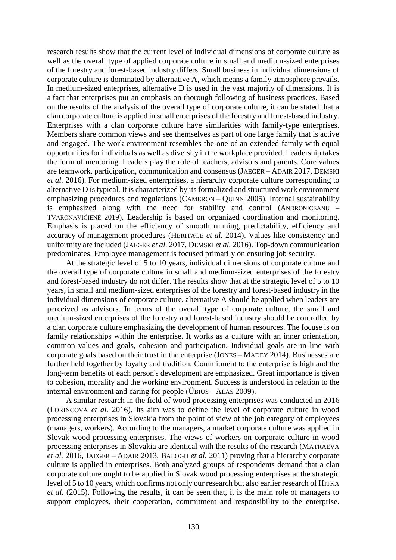research results show that the current level of individual dimensions of corporate culture as well as the overall type of applied corporate culture in small and medium-sized enterprises of the forestry and forest-based industry differs. Small business in individual dimensions of corporate culture is dominated by alternative A, which means a family atmosphere prevails. In medium-sized enterprises, alternative D is used in the vast majority of dimensions. It is a fact that enterprises put an emphasis on thorough following of business practices. Based on the results of the analysis of the overall type of corporate culture, it can be stated that a clan corporate culture is applied in small enterprises of the forestry and forest-based industry. Enterprises with a clan corporate culture have similarities with family-type enterprises. Members share common views and see themselves as part of one large family that is active and engaged. The work environment resembles the one of an extended family with equal opportunities for individuals as well as diversity in the workplace provided. Leadership takes the form of mentoring. Leaders play the role of teachers, advisors and parents. Core values are teamwork, participation, communication and consensus (JAEGER – ADAIR 2017, DEMSKI *et al.* 2016). For medium-sized enterrprises, a hierarchy corporate culture corresponding to alternative D is typical. It is characterized by its formalized and structured work environment emphasizing procedures and regulations (CAMERON – QUINN 2005). Internal sustainability is emphasized along with the need for stability and control (ANDRONICEANU – TVARONAVIČIENĖ 2019). Leadership is based on organized coordination and monitoring. Emphasis is placed on the efficiency of smooth running, predictability, efficiency and accuracy of management procedures (HERITAGE *et al.* 2014). Values like consistency and uniformity are included (JAEGER *et al.* 2017, DEMSKI *et al.* 2016). Top-down communication predominates. Employee management is focused primarily on ensuring job security.

At the strategic level of 5 to 10 years, individual dimensions of corporate culture and the overall type of corporate culture in small and medium-sized enterprises of the forestry and forest-based industry do not differ. The results show that at the strategic level of 5 to 10 years, in small and medium-sized enterprises of the forestry and forest-based industry in the individual dimensions of corporate culture, alternative A should be applied when leaders are perceived as advisors. In terms of the overall type of corporate culture, the small and medium-sized enterprises of the forestry and forest-based industry should be controlled by a clan corporate culture emphasizing the development of human resources. The focuse is on family relationships within the enterprise. It works as a culture with an inner orientation, common values and goals, cohesion and participation. Individual goals are in line with corporate goals based on their trust in the enterprise (JONES – MADEY 2014). Businesses are further held together by loyalty and tradition. Commitment to the enterprise is high and the long-term benefits of each person's development are emphasized. Great importance is given to cohesion, morality and the working environment. Success is understood in relation to the internal environment and caring for people (ÜBIUS – ALAS 2009).

A similar research in the field of wood processing enterprises was conducted in 2016 (LORINCOVÁ *et al.* 2016). Its aim was to define the level of corporate culture in wood processing enterprises in Slovakia from the point of view of the job category of employees (managers, workers). According to the managers, a market corporate culture was applied in Slovak wood processing enterprises. The views of workers on corporate culture in wood processing enterprises in Slovakia are identical with the results of the research (MATRAEVA *et al.* 2016, JAEGER – ADAIR 2013, BALOGH *et al.* 2011) proving that a hierarchy corporate culture is applied in enterprises. Both analyzed groups of respondents demand that a clan corporate culture ought to be applied in Slovak wood processing enterprises at the strategic level of 5 to 10 years, which confirms not only our research but also earlier research of HITKA *et al.* (2015). Following the results, it can be seen that, it is the main role of managers to support employees, their cooperation, commitment and responsibility to the enterprise.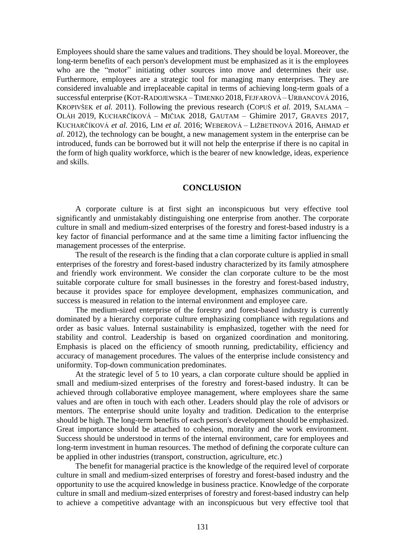Employees should share the same values and traditions. They should be loyal. Moreover, the long-term benefits of each person's development must be emphasized as it is the employees who are the "motor" initiating other sources into move and determines their use. Furthermore, employees are a strategic tool for managing many enterprises. They are considered invaluable and irreplaceable capital in terms of achieving long-term goals of a successful enterprise (KOT-RADOJEWSKA – TIMENKO 2018, FEJFAROVÁ – URBANCOVÁ 2016, KROPIVŠEK *et al.* 2011). Following the previous research (COPUŠ *et al.* 2019, SALAMA – OLÁH 2019, KUCHARČÍKOVÁ – MIČIAK 2018, GAUTAM – Ghimire 2017, GRAVES 2017, KUCHARČÍKOVÁ *et al.* 2016, LIM *et al.* 2016; WEBEROVÁ – LIŽBETINOVÁ 2016, AHMAD *et al.* 2012), the technology can be bought, a new management system in the enterprise can be introduced, funds can be borrowed but it will not help the enterprise if there is no capital in the form of high quality workforce, which is the bearer of new knowledge, ideas, experience and skills.

#### **CONCLUSION**

A corporate culture is at first sight an inconspicuous but very effective tool significantly and unmistakably distinguishing one enterprise from another. The corporate culture in small and medium-sized enterprises of the forestry and forest-based industry is a key factor of financial performance and at the same time a limiting factor influencing the management processes of the enterprise.

The result of the research is the finding that a clan corporate culture is applied in small enterprises of the forestry and forest-based industry characterized by its family atmosphere and friendly work environment. We consider the clan corporate culture to be the most suitable corporate culture for small businesses in the forestry and forest-based industry, because it provides space for employee development, emphasizes communication, and success is measured in relation to the internal environment and employee care.

The medium-sized enterprise of the forestry and forest-based industry is currently dominated by a hierarchy corporate culture emphasizing compliance with regulations and order as basic values. Internal sustainability is emphasized, together with the need for stability and control. Leadership is based on organized coordination and monitoring. Emphasis is placed on the efficiency of smooth running, predictability, efficiency and accuracy of management procedures. The values of the enterprise include consistency and uniformity. Top-down communication predominates.

At the strategic level of 5 to 10 years, a clan corporate culture should be applied in small and medium-sized enterprises of the forestry and forest-based industry. It can be achieved through collaborative employee management, where employees share the same values and are often in touch with each other. Leaders should play the role of advisors or mentors. The enterprise should unite loyalty and tradition. Dedication to the enterprise should be high. The long-term benefits of each person's development should be emphasized. Great importance should be attached to cohesion, morality and the work environment. Success should be understood in terms of the internal environment, care for employees and long-term investment in human resources. The method of defining the corporate culture can be applied in other industries (transport, construction, agriculture, etc.)

The benefit for managerial practice is the knowledge of the required level of corporate culture in small and medium-sized enterprises of forestry and forest-based industry and the opportunity to use the acquired knowledge in business practice. Knowledge of the corporate culture in small and medium-sized enterprises of forestry and forest-based industry can help to achieve a competitive advantage with an inconspicuous but very effective tool that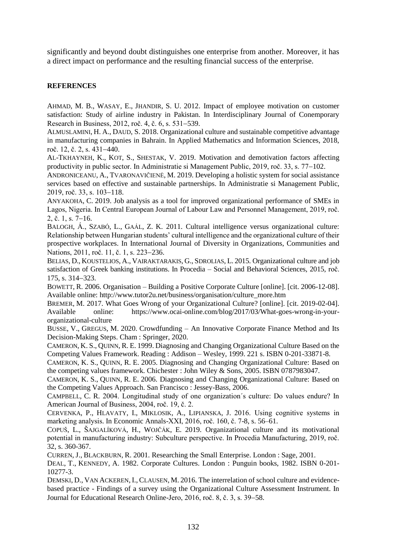significantly and beyond doubt distinguishes one enterprise from another. Moreover, it has a direct impact on performance and the resulting financial success of the enterprise.

### **REFERENCES**

AHMAD, M. B., WASAY, E., JHANDIR, S. U. 2012. Impact of employee motivation on customer satisfaction: Study of airline industry in Pakistan. In Interdisciplinary Journal of Conemporary Research in Business, 2012, roč. 4, č. 6, s. 531–539.

ALMUSLAMINI, H. A., DAUD, S. 2018. Organizational culture and sustainable competitive advantage in manufacturing companies in Bahrain. In Applied Mathematics and Information Sciences, 2018, roč. 12, č. 2, s.  $431-440$ .

AL-TKHAYNEH, K., KOT, S., SHESTAK, V. 2019. Motivation and demotivation factors affecting productivity in public sector. In Administratie si Management Public, 2019, roč. 33, s. 77–102.

ANDRONICEANU, A., TVARONAVIČIENĖ, M. 2019. Developing a holistic system for social assistance services based on effective and sustainable partnerships. In Administratie si Management Public, 2019, roč. 33, s. 103-118.

ANYAKOHA, C. 2019. Job analysis as a tool for improved organizational performance of SMEs in Lagos, Nigeria. In Central European Journal of Labour Law and Personnel Management, 2019, roč.  $2, \check{c}$ . 1, s. 7–16.

BALOGH, Á., SZABÓ, L., GAÁL, Z. K. 2011. Cultural intelligence versus organizational culture: Relationship between Hungarian students' cultural intelligence and the organizational culture of their prospective workplaces. In International Journal of Diversity in Organizations, Communities and Nations, 2011, roč. 11, č. 1, s. 223–236.

BELIAS, D., KOUSTELIOS, A., VAIRAKTARAKIS, G., SDROLIAS, L. 2015. Organizational culture and job satisfaction of Greek banking institutions. In Procedia – Social and Behavioral Sciences, 2015, roč. 175, s. 314–323.

BOWETT, R. 2006. Organisation – Building a Positive Corporate Culture [online]. [cit. 2006-12-08]. Available online[: http://www.tutor2u.net/business/organisation/culture\\_more.htm](http://www.tutor2u.net/business/organisation/culture_more.htm)

BREMER, M. 2017. What Goes Wrong of your Organizational Culture? [online]. [cit. 2019-02-04]. Available online: https://www.ocai-online.com/blog/2017/03/What-goes-wrong-in-yourorganizational-culture

BUSSE, V., GREGUS, M. 2020. Crowdfunding – An Innovative Corporate Finance Method and Its Decision-Making Steps. Cham : Springer, 2020.

CAMERON, K. S., QUINN, R. E. 1999. Diagnosing and Changing Organizational Culture Based on the Competing Values Framework. Reading : Addison – Wesley, 1999. 221 s. ISBN 0-201-33871-8.

CAMERON, K. S., QUINN, R. E. 2005. Diagnosing and Changing Organizational Culture: Based on the competing values framework. Chichester : John Wiley & Sons, 2005. ISBN 0787983047.

CAMERON, K. S., QUINN, R. E. 2006. Diagnosing and Changing Organizational Culture: Based on the Competing Values Approach. San Francisco : Jessey-Bass, 2006.

CAMPBELL, C. R. 2004. Longitudinal study of one organization´s culture: Do values endure? In American Journal of Business, 2004, roč. 19, č. 2.

CERVENKA, P., HLAVATY, I., MIKLOSIK, A., LIPIANSKA, J. 2016. Using cognitive systems in marketing analysis. In Economic Annals-XXI, 2016, roč. 160, č. 7-8, s. 56–61.

COPUŠ, L., ŠAJGALÍKOVÁ, H., WOJČÁK, E. 2019. Organizational culture and its motivational potential in manufacturing industry: Subculture perspective. In Procedia Manufacturing, 2019, roč. 32, s. 360-367.

CURREN, J., BLACKBURN, R. 2001. Researching the Small Enterprise. London : Sage, 2001.

DEAL, T., KENNEDY, A. 1982. Corporate Cultures. London : Punguin books, 1982. ISBN 0-201- 10277-3.

DEMSKI, D., VAN ACKEREN, I., CLAUSEN, M. 2016. The interrelation of school culture and evidencebased practice - Findings of a survey using the Organizational Culture Assessment Instrument. In Journal for Educational Research Online-Jero, 2016, roč. 8, č. 3, s. 39–58.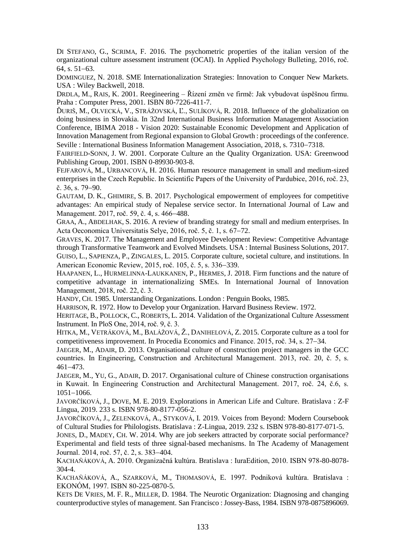DI STEFANO, G., SCRIMA, F. 2016. The psychometric properties of the italian version of the organizational culture assessment instrument (OCAI). In Applied Psychology Bulleting, 2016, roč. 64, s.  $51-63$ .

DOMINGUEZ, N. 2018. SME Internationalization Strategies: Innovation to Conquer New Markets. USA : Wiley Backwell, 2018.

DRDLA, M., RAIS, K. 2001. Reegineering – Řízení změn ve firmě: Jak vybudovat úspěšnou firmu. Praha : Computer Press, 2001. ISBN 80-7226-411-7.

ĎURIŠ, M., OLVECKÁ, V., STRÁŽOVSKÁ, Ľ., SULÍKOVÁ, R. 2018. Influence of the globalization on doing business in Slovakia. In 32nd International Business Information Management Association Conference, IBIMA 2018 - Vision 2020: Sustainable Economic Development and Application of Innovation Management from Regional expansion to Global Growth : proceedings of the conference. Seville : International Business Information Management Association, 2018, s. 7310–7318.

FAIRFIELD-SONN, J. W. 2001. Corporate Culture an the Quality Organization. USA: Greenwood Publishing Group, 2001. ISBN 0-89930-903-8.

FEJFAROVÁ, M., URBANCOVÁ, H. 2016. Human resource management in small and medium-sized enterprises in the Czech Republic. In Scientific Papers of the University of Pardubice, 2016, roč. 23,  $\check{\rm c}$ . 36, s. 79–90.

GAUTAM, D. K., GHIMIRE, S. B. 2017. Psychological empowerment of employees for competitive advantages: An empirical study of Nepalese service sector. In International Journal of Law and Management. 2017, roč. 59, č. 4, s. 466–488.

GRAA, A., ABDELHAK, S. 2016. A review of branding strategy for small and medium enterprises. In Acta Oeconomica Universitatis Selye, 2016, roč. 5, č. 1, s. 67–72.

GRAVES, K. 2017. The Management and Employee Development Review: Competitive Advantage through Transformative Teamwork and Evolved Mindsets. USA : Internal Business Solutions, 2017. GUISO, L., SAPIENZA, P., ZINGALES, L. 2015. Corporate culture, societal culture, and institutions. In American Economic Review, 2015, roč. 105, č. 5, s. 336–339.

HAAPANEN, L., HURMELINNA-LAUKKANEN, P., HERMES, J. 2018. Firm functions and the nature of competitive advantage in internationalizing SMEs. In International Journal of Innovation Management, 2018, roč. 22, č. 3.

HANDY, CH. 1985. Unterstanding Organizations. London : Penguin Books, 1985.

HARRISON, R. 1972. How to Develop your Organization. Harvard Business Review. 1972.

HERITAGE, B., POLLOCK, C., ROBERTS, L. 2014. Validation of the Organizational Culture Assessment Instrument. In PloS One, 2014, roč. 9, č. 3.

HITKA, M., VETRÁKOVÁ, M., BALÁŽOVÁ, Ž., DANIHELOVÁ, Z. 2015. Corporate culture as a tool for competitiveness improvement. In Procedia Economics and Finance.  $2015$ , roč. 34, s.  $27-34$ .

JAEGER, M., ADAIR, D. 2013. Organisational culture of construction project managers in the GCC countries. In Engineering, Construction and Architectural Management. 2013, roč. 20, č. 5, s.  $461 - 473$ .

JAEGER, M., YU, G., ADAIR, D. 2017. Organisational culture of Chinese construction organisations in Kuwait. In Engineering Construction and Architectural Management. 2017, roč. 24, č.6, s.  $1051 - 1066$ .

JAVORČÍKOVÁ, J., DOVE, M. E. 2019. Explorations in American Life and Culture. Bratislava : Z-F Lingua, 2019. 233 s. ISBN 978-80-8177-056-2.

JAVORČÍKOVÁ, J., ZELENKOVÁ, A., STYKOVÁ, I. 2019. Voices from Beyond: Modern Coursebook of Cultural Studies for Philologists. Bratislava : Z-Lingua, 2019. 232 s. ISBN 978-80-8177-071-5.

JONES, D., MADEY, CH. W. 2014. Why are job seekers attracted by corporate social performance? Experimental and field tests of three signal-based mechanisms. In The Academy of Management Journal. 2014, roč. 57, č. 2, s. 383-404.

KACHAŇÁKOVÁ, A. 2010. Organizačná kultúra. Bratislava : IuraEdition, 2010. ISBN 978-80-8078- 304-4.

KACHAŇÁKOVÁ, A., SZARKOVÁ, M., THOMASOVÁ, E. 1997. Podniková kultúra. Bratislava : EKONÓM, 1997. ISBN 80-225-0870-5.

KETS DE VRIES, M. F. R., MILLER, D. 1984. The Neurotic Organization: Diagnosing and changing counterproductive styles of management. San Francisco : Jossey-Bass, 1984. ISBN 978-0875896069.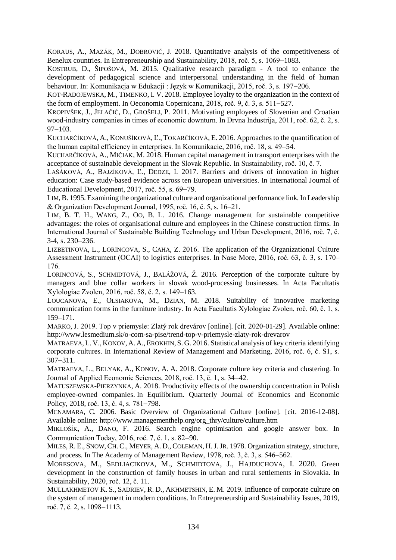KORAUS, A., MAZÁK, M., DOBROVIČ, J. 2018. Quantitative analysis of the competitiveness of Benelux countries. In Entrepreneurship and Sustainability, 2018, roč. 5, s. 1069–1083.

KOSTRUB, D., ŠIPOŠOVÁ, M. 2015. Qualitative research paradigm - A tool to enhance the development of pedagogical science and interpersonal understanding in the field of human behaviour. In: Komunikacja w Edukacji : Język w Komunikacji, 2015, roč. 3, s. 197–206.

KOT-RADOJEWSKA, M., TIMENKO, I. V. 2018. Employee loyalty to the organization in the context of the form of employment. In Oeconomia Copernicana,  $2018$ , roč.  $9$ , č.  $3$ , s.  $511-527$ .

KROPIVŠEK, J., JELAČIĆ, D., GROŠELJ, P. 2011. Motivating employees of Slovenian and Croatian wood-industry companies in times of economic downturn. In Drvna Industrija, 2011, roč. 62, č. 2, s.  $97-103.$ 

KUCHARČÍKOVÁ, A., KONUŠÍKOVÁ, Ľ., TOKARČÍKOVÁ, E. 2016. Approaches to the quantification of the human capital efficiency in enterprises. In Komunikacie, 2016, roč. 18, s. 49–54.

KUCHARČÍKOVÁ, A., MIČIAK, M. 2018. Human capital management in transport enterprises with the acceptance of sustainable development in the Slovak Republic. In Sustainability, roč. 10, č. 7.

LAŠÁKOVÁ, A., BAJZÍKOVÁ, Ľ., DEDZE, I. 2017. Barriers and drivers of innovation in higher education: Case study-based evidence across ten European universities. In International Journal of Educational Development, 2017, roč. 55, s. 69–79.

LIM,B. 1995. Examining the organizational culture and organizational performance link. In Leadership & Organization Development Journal, 1995, roč. 16, č. 5, s. 1621.

LIM, B. T. H., WANG, Z., OO, B. L. 2016. Change management for sustainable competitive advantages: the roles of organisational culture and employees in the Chinese construction firms. In International Journal of Sustainable Building Technology and Urban Development, 2016, roč. 7, č. 3-4, s. 230–236.

LIZBETINOVA, L., LORINCOVA, S., CAHA, Z. 2016. The application of the Organizational Culture Assessment Instrument (OCAI) to logistics enterprises. In Nase More, 2016, roč. 63, č. 3, s. 170– 176.

LORINCOVÁ, S., SCHMIDTOVÁ, J., BALÁŽOVÁ, Ž. 2016. Perception of the corporate culture by managers and blue collar workers in slovak wood-processing businesses. In Acta Facultatis Xylologiae Zvolen, 2016, roč. 58, č. 2, s. 149–163.

LOUCANOVA, E., OLSIAKOVA, M., DZIAN, M. 2018. Suitability of innovative marketing communication forms in the furniture industry. In Acta Facultatis Xylologiae Zvolen, roč. 60, č. 1, s. 159-171

MARKO, J. 2019. Top v priemysle: Zlatý rok drevárov [online]. [cit. 2020-01-29]. Available online: [http://www.lesmedium.sk/o-com-sa-pise/trend-top-v-priemysle-zlaty-rok-drevarov](http://www.lesmedium.sk/o-com-sa-pise/trend-top-v-priemysle-zlaty-rok-drevarov%2029.09.2019%20cit%2029.01.2020)

MATRAEVA, L. V., KONOV, A. A., EROKHIN, S. G. 2016. Statistical analysis of key criteria identifying corporate cultures. In International Review of Management and Marketing, 2016, roč. 6, č. S1, s.  $307 - 311.$ 

MATRAEVA, L., BELYAK, A., KONOV, A. A. 2018. Corporate culture key criteria and clustering. In Journal of Applied Economic Sciences, 2018, roč. 13, č. 1, s. 34–42.

MATUSZEWSKA-PIERZYNKA, A. 2018. Productivity effects of the ownership concentration in Polish employee-owned companies. In Equilibrium. Quarterly Journal of Economics and Economic Policy, 2018, roč. 13, č. 4, s. 781–798.

MCNAMARA, C. 2006. Basic Overview of Organizational Culture [online]. [cit. 2016-12-08]. Available online: http://www.managementhelp.org/org\_thry/culture/culture.htm

MIKLOŠÍK, A., DANO, F. 2016. Search engine optimisation and google answer box. In Communication Today, 2016, roč. 7, č. 1, s. 82–90.

MILES, R. E., SNOW, CH. C., MEYER, A. D., COLEMAN, H.J.JR. 1978. Organization strategy, structure, and process. In The Academy of Management Review,  $1978$ , roč. 3, č. 3, s. 546–562.

MORESOVA, M., SEDLIACIKOVA, M., SCHMIDTOVA, J., HAJDUCHOVA, I. 2020. Green development in the construction of family houses in urban and rural settlements in Slovakia. In Sustainability, 2020, roč. 12, č. 11.

MULLAKHMETOV K. S., SADRIEV, R. D., AKHMETSHIN, E. M. 2019. Influence of corporate culture on the system of management in modern conditions. In Entrepreneurship and Sustainability Issues, 2019, roč. 7, č. 2, s. 1098–1113.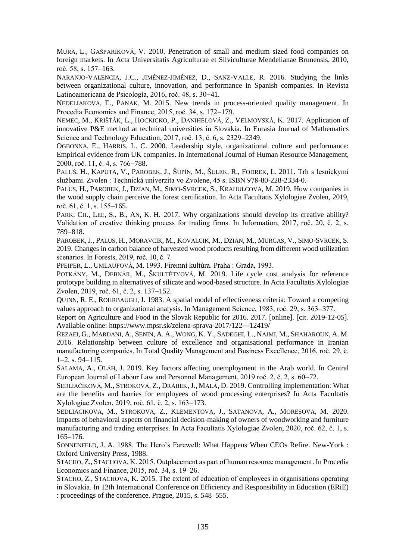MURA, L., GAŠPARÍKOVÁ, V. 2010. Penetration of small and medium sized food companies on foreign markets. In Acta Universitatis Agriculturae et Silviculturae Mendelianae Brunensis, 2010, roč. 58, s. 157-163.

NARANJO-VALENCIA, J.C., JIMÉNEZ-JIMÉNEZ, D., SANZ-VALLE, R. 2016. Studying the links between organizational culture, innovation, and performance in Spanish companies. In Revista Latinoamericana de Psicología, 2016, roč. 48, s. 30–41.

NEDELIAKOVA, E., PANAK, M. 2015. New trends in process-oriented quality management. In Procedia Economics and Finance, 2015, roč. 34, s. 172–179.

NEMEC, M., KRIŠŤÁK, L., HOCKICKO, P., DANIHELOVÁ, Z., VELMOVSKÁ, K. 2017. Application of innovative P&E method at technical universities in Slovakia. In Eurasia Journal of Mathematics Science and Technology Education,  $2017$ , roč. 13, č. 6, s.  $2329-2349$ .

OGBONNA, E., HARRIS, L. C. 2000. Leadership style, organizational culture and performance: Empirical evidence from UK companies. In International Journal of Human Resource Management, 2000, roč. 11, č. 4, s. 766–788.

PALUŠ, H., KAPUTA, V., PAROBEK, J., ŠUPÍN, M., ŠULEK, R., FODREK, L. 2011. Trh s lesníckymi službami. Zvolen : Technická univerzita vo Zvolene, 45 s. ISBN 978-80-228-2334-0.

PALUS, H., PAROBEK, J., DZIAN, M., SIMO-SVRCEK, S., KRAHULCOVA, M. 2019. How companies in the wood supply chain perceive the forest certification. In Acta Facultatis Xylologiae Zvolen, 2019, roč. 61, č. 1, s.  $155-165$ .

PARK, CH., LEE, S., B., AN, K. H. 2017. Why organizations should develop its creative ability? Validation of creative thinking process for trading firms. In Information, 2017, roč. 20, č. 2, s. 789-818.

PAROBEK, J., PALUS, H., MORAVCIK, M., KOVALCIK, M., DZIAN, M., MURGAS, V., SIMO-SVRCEK, S. 2019. Changes in carbon balance of harvested wood products resulting from different wood utilization scenarios. In Forests, 2019, roč. 10, č. 7.

PFEIFER, L., UMLAUFOVÁ, M. 1993. Firemní kultúra. Praha : Grada, 1993.

P[OTKÁNY](https://www.scopus.com/authid/detail.uri?authorId=8213786900&eid=2-s2.0-85074649203), M., D[EBNÁR](https://www.scopus.com/authid/detail.uri?authorId=57195228690&eid=2-s2.0-85074649203), M., Š[KULTÉTYOVÁ](https://www.scopus.com/authid/detail.uri?authorId=57210432740&eid=2-s2.0-85074649203), M. 2019. Life cycle cost analysis for reference prototype building in alternatives of silicate and wood-based structure. In Acta Facultatis Xylologiae Zvolen, 2019, roč. 61, č. 2, s. 137–152.

QUINN, R. E., ROHRBAUGH, J. 1983. A spatial model of effectiveness criteria: Toward a competing values approach to organizational analysis. In Management Science, 1983, roč. 29, s. 363–377.

Report on Agriculture and Food in the Slovak Republic for 2016. 2017. [online]. [cit. 2019-12-05]. Available online: https://www.mpsr.sk/zelena-sprava-2017/122---12419/

REZAEI, G., MARDANI, A., SENIN, A. A., WONG, K. Y., SADEGHI, L., NAJMI, M., SHAHAROUN, A. M. 2016. Relationship between culture of excellence and organisational performance in Iranian manufacturing companies. In Total Quality Management and Business Excellence, 2016, roč. 29, č.  $1-2$ , s. 94-115.

SALAMA, A., OLÁH, J. 2019. Key factors affecting unemployment in the Arab world. In Central European Journal of Labour Law and Personnel Management, 2019 roč. 2, č. 2, s. 60–72.

S[EDLIAČIKOVÁ](https://www.scopus.com/authid/detail.uri?authorId=41262545200&eid=2-s2.0-85074662346), M., S[TROKOVÁ](https://www.scopus.com/authid/detail.uri?authorId=57204705263&eid=2-s2.0-85074662346), Z., D[RÁBEK](https://www.scopus.com/authid/detail.uri?authorId=35764227900&eid=2-s2.0-85074662346), J., M[ALÁ](https://www.scopus.com/authid/detail.uri?authorId=57193789504&eid=2-s2.0-85074662346), D. 2019. Controlling implementation: What are the benefits and barries for employees of wood processing enterprises? In Acta Facultatis Xylologiae Zvolen, 2019, roč. 61, č. 2, s. 163–173.

SEDLIACIKOVA, M., STROKOVA, Z., KLEMENTOVA, J., SATANOVA, A., MORESOVA, M. 2020. Impacts of behavioral aspects on financial decision-making of owners of woodworking and furniture manufacturing and trading enterprises. In Acta Facultatis Xylologiae Zvolen, 2020, roč. 62, č. 1, s. 165–176.

SONNENFELD, J. A. 1988. The Hero's Farewell: What Happens When CEOs Refire. New-York : Oxford University Press, 1988.

STACHO, Z., STACHOVA, K. 2015. Outplacement as part of human resource management. In Procedia Economics and Finance, 2015, roč. 34, s. 19–26.

STACHO, Z., STACHOVA, K. 2015. The extent of education of employees in organisations operating in Slovakia. In 12th International Conference on Efficiency and Responsibility in Education (ERiE) : proceedings of the conference. Prague, 2015, s. 548–555.